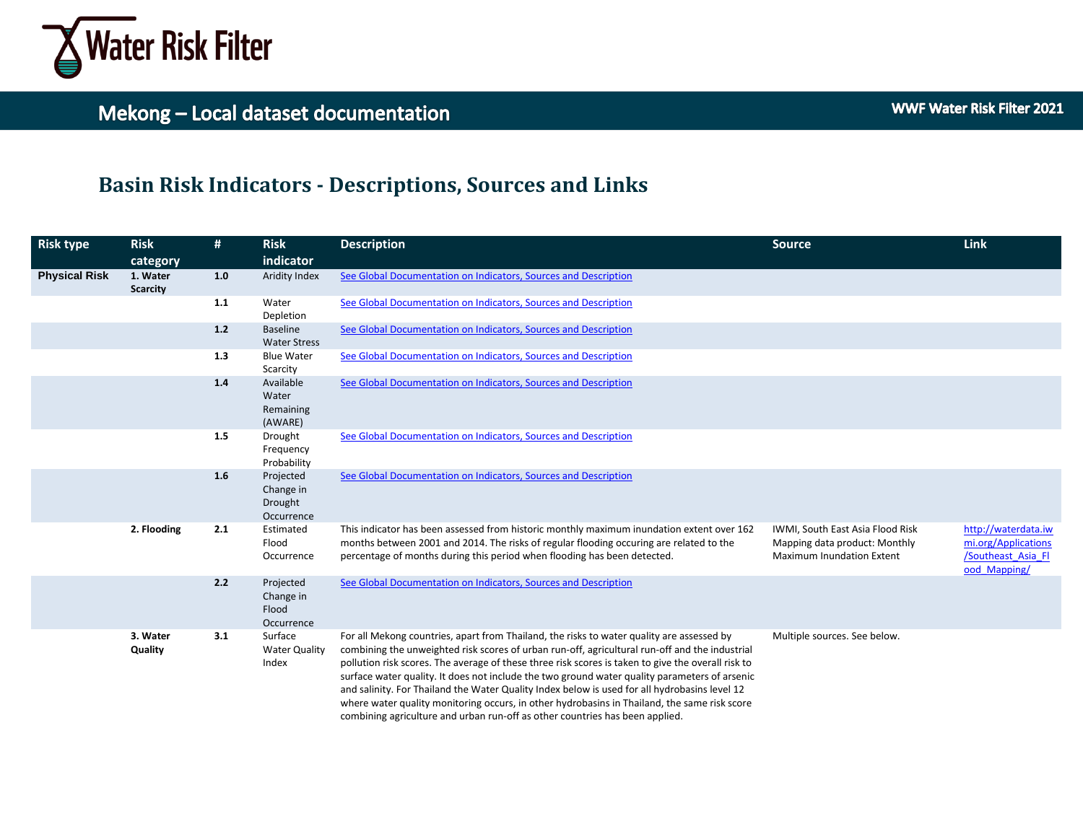

### **Basin Risk Indicators - Descriptions, Sources and Links**

| <b>Risk type</b>     | <b>Risk</b><br>category     | #   | <b>Risk</b><br>indicator                        | <b>Description</b>                                                                                                                                                                                                                                                                                                                                                                                                                                                                                                                                                                                                                                                                  | <b>Source</b>                                                                                         | Link                                                                             |
|----------------------|-----------------------------|-----|-------------------------------------------------|-------------------------------------------------------------------------------------------------------------------------------------------------------------------------------------------------------------------------------------------------------------------------------------------------------------------------------------------------------------------------------------------------------------------------------------------------------------------------------------------------------------------------------------------------------------------------------------------------------------------------------------------------------------------------------------|-------------------------------------------------------------------------------------------------------|----------------------------------------------------------------------------------|
| <b>Physical Risk</b> | 1. Water<br><b>Scarcity</b> | 1.0 | Aridity Index                                   | See Global Documentation on Indicators, Sources and Description                                                                                                                                                                                                                                                                                                                                                                                                                                                                                                                                                                                                                     |                                                                                                       |                                                                                  |
|                      |                             | 1.1 | Water<br>Depletion                              | See Global Documentation on Indicators, Sources and Description                                                                                                                                                                                                                                                                                                                                                                                                                                                                                                                                                                                                                     |                                                                                                       |                                                                                  |
|                      |                             | 1.2 | <b>Baseline</b><br><b>Water Stress</b>          | See Global Documentation on Indicators, Sources and Description                                                                                                                                                                                                                                                                                                                                                                                                                                                                                                                                                                                                                     |                                                                                                       |                                                                                  |
|                      |                             | 1.3 | <b>Blue Water</b><br>Scarcity                   | See Global Documentation on Indicators, Sources and Description                                                                                                                                                                                                                                                                                                                                                                                                                                                                                                                                                                                                                     |                                                                                                       |                                                                                  |
|                      |                             | 1.4 | Available<br>Water<br>Remaining<br>(AWARE)      | See Global Documentation on Indicators, Sources and Description                                                                                                                                                                                                                                                                                                                                                                                                                                                                                                                                                                                                                     |                                                                                                       |                                                                                  |
|                      |                             | 1.5 | Drought<br>Frequency<br>Probability             | See Global Documentation on Indicators, Sources and Description                                                                                                                                                                                                                                                                                                                                                                                                                                                                                                                                                                                                                     |                                                                                                       |                                                                                  |
|                      |                             | 1.6 | Projected<br>Change in<br>Drought<br>Occurrence | See Global Documentation on Indicators, Sources and Description                                                                                                                                                                                                                                                                                                                                                                                                                                                                                                                                                                                                                     |                                                                                                       |                                                                                  |
|                      | 2. Flooding                 | 2.1 | Estimated<br>Flood<br>Occurrence                | This indicator has been assessed from historic monthly maximum inundation extent over 162<br>months between 2001 and 2014. The risks of regular flooding occuring are related to the<br>percentage of months during this period when flooding has been detected.                                                                                                                                                                                                                                                                                                                                                                                                                    | IWMI, South East Asia Flood Risk<br>Mapping data product: Monthly<br><b>Maximum Inundation Extent</b> | http://waterdata.iw<br>mi.org/Applications<br>/Southeast Asia Fl<br>ood Mapping/ |
|                      |                             | 2.2 | Projected<br>Change in<br>Flood<br>Occurrence   | See Global Documentation on Indicators, Sources and Description                                                                                                                                                                                                                                                                                                                                                                                                                                                                                                                                                                                                                     |                                                                                                       |                                                                                  |
|                      | 3. Water<br>Quality         | 3.1 | Surface<br><b>Water Quality</b><br>Index        | For all Mekong countries, apart from Thailand, the risks to water quality are assessed by<br>combining the unweighted risk scores of urban run-off, agricultural run-off and the industrial<br>pollution risk scores. The average of these three risk scores is taken to give the overall risk to<br>surface water quality. It does not include the two ground water quality parameters of arsenic<br>and salinity. For Thailand the Water Quality Index below is used for all hydrobasins level 12<br>where water quality monitoring occurs, in other hydrobasins in Thailand, the same risk score<br>combining agriculture and urban run-off as other countries has been applied. | Multiple sources. See below.                                                                          |                                                                                  |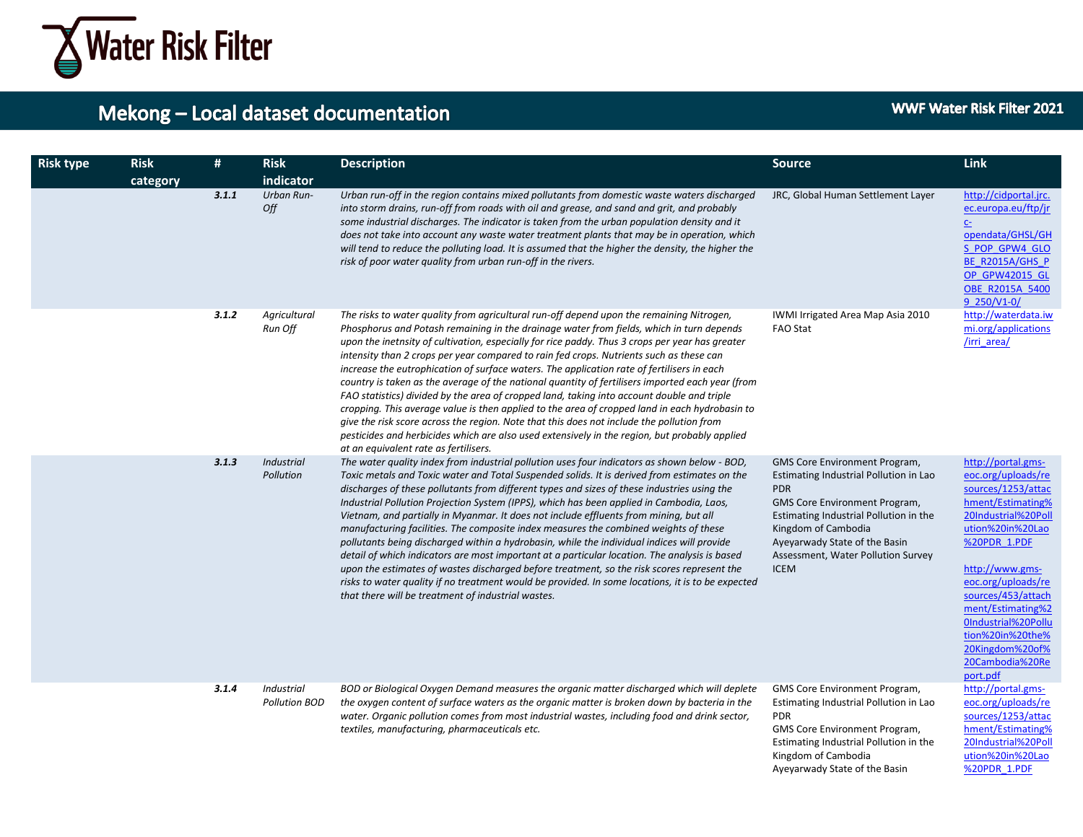

| <b>Risk type</b> | <b>Risk</b><br>category | #     | <b>Risk</b><br>indicator                  | <b>Description</b>                                                                                                                                                                                                                                                                                                                                                                                                                                                                                                                                                                                                                                                                                                                                                                                                                                                                                                                                                                                                               | <b>Source</b>                                                                                                                                                                                                                                                                 | <b>Link</b>                                                                                                                                                                                                                                                                                                                     |
|------------------|-------------------------|-------|-------------------------------------------|----------------------------------------------------------------------------------------------------------------------------------------------------------------------------------------------------------------------------------------------------------------------------------------------------------------------------------------------------------------------------------------------------------------------------------------------------------------------------------------------------------------------------------------------------------------------------------------------------------------------------------------------------------------------------------------------------------------------------------------------------------------------------------------------------------------------------------------------------------------------------------------------------------------------------------------------------------------------------------------------------------------------------------|-------------------------------------------------------------------------------------------------------------------------------------------------------------------------------------------------------------------------------------------------------------------------------|---------------------------------------------------------------------------------------------------------------------------------------------------------------------------------------------------------------------------------------------------------------------------------------------------------------------------------|
|                  |                         | 3.1.1 | <b>Urban Run-</b><br>Off                  | Urban run-off in the region contains mixed pollutants from domestic waste waters discharged<br>into storm drains, run-off from roads with oil and grease, and sand and grit, and probably<br>some industrial discharges. The indicator is taken from the urban population density and it<br>does not take into account any waste water treatment plants that may be in operation, which<br>will tend to reduce the polluting load. It is assumed that the higher the density, the higher the<br>risk of poor water quality from urban run-off in the rivers.                                                                                                                                                                                                                                                                                                                                                                                                                                                                     | JRC, Global Human Settlement Layer                                                                                                                                                                                                                                            | http://cidportal.jrc.<br>ec.europa.eu/ftp/jr<br>C <sub>2</sub><br>opendata/GHSL/GH<br>S POP GPW4 GLO<br>BE R2015A/GHS P<br>OP GPW42015 GL<br>OBE R2015A 5400<br>9 250/V1-0/                                                                                                                                                     |
|                  |                         | 3.1.2 | Agricultural<br>Run Off                   | The risks to water quality from agricultural run-off depend upon the remaining Nitrogen,<br>Phosphorus and Potash remaining in the drainage water from fields, which in turn depends<br>upon the inetnsity of cultivation, especially for rice paddy. Thus 3 crops per year has greater<br>intensity than 2 crops per year compared to rain fed crops. Nutrients such as these can<br>increase the eutrophication of surface waters. The application rate of fertilisers in each<br>country is taken as the average of the national quantity of fertilisers imported each year (from<br>FAO statistics) divided by the area of cropped land, taking into account double and triple<br>cropping. This average value is then applied to the area of cropped land in each hydrobasin to<br>give the risk score across the region. Note that this does not include the pollution from<br>pesticides and herbicides which are also used extensively in the region, but probably applied<br>at an equivalent rate as fertilisers.      | IWMI Irrigated Area Map Asia 2010<br>FAO Stat                                                                                                                                                                                                                                 | http://waterdata.iw<br>mi.org/applications<br>/irri area/                                                                                                                                                                                                                                                                       |
|                  |                         | 3.1.3 | Industrial<br>Pollution                   | The water quality index from industrial pollution uses four indicators as shown below - BOD,<br>Toxic metals and Toxic water and Total Suspended solids. It is derived from estimates on the<br>discharges of these pollutants from different types and sizes of these industries using the<br>Industrial Pollution Projection System (IPPS), which has been applied in Cambodia, Laos,<br>Vietnam, and partially in Myanmar. It does not include effluents from mining, but all<br>manufacturing facilities. The composite index measures the combined weights of these<br>pollutants being discharged within a hydrobasin, while the individual indices will provide<br>detail of which indicators are most important at a particular location. The analysis is based<br>upon the estimates of wastes discharged before treatment, so the risk scores represent the<br>risks to water quality if no treatment would be provided. In some locations, it is to be expected<br>that there will be treatment of industrial wastes. | GMS Core Environment Program,<br>Estimating Industrial Pollution in Lao<br><b>PDR</b><br>GMS Core Environment Program,<br>Estimating Industrial Pollution in the<br>Kingdom of Cambodia<br>Ayeyarwady State of the Basin<br>Assessment, Water Pollution Survey<br><b>ICEM</b> | http://portal.gms-<br>eoc.org/uploads/re<br>sources/1253/attac<br>hment/Estimating%<br>20Industrial%20Poll<br>ution%20in%20Lao<br>%20PDR 1.PDF<br>http://www.gms-<br>eoc.org/uploads/re<br>sources/453/attach<br>ment/Estimating%2<br>0Industrial%20Pollu<br>tion%20in%20the%<br>20Kingdom%20of%<br>20Cambodia%20Re<br>port.pdf |
|                  |                         | 3.1.4 | <b>Industrial</b><br><b>Pollution BOD</b> | BOD or Biological Oxygen Demand measures the organic matter discharged which will deplete<br>the oxygen content of surface waters as the organic matter is broken down by bacteria in the<br>water. Organic pollution comes from most industrial wastes, including food and drink sector,<br>textiles, manufacturing, pharmaceuticals etc.                                                                                                                                                                                                                                                                                                                                                                                                                                                                                                                                                                                                                                                                                       | GMS Core Environment Program,<br>Estimating Industrial Pollution in Lao<br><b>PDR</b><br>GMS Core Environment Program,<br>Estimating Industrial Pollution in the<br>Kingdom of Cambodia<br>Ayeyarwady State of the Basin                                                      | http://portal.gms-<br>eoc.org/uploads/re<br>sources/1253/attac<br>hment/Estimating%<br>20Industrial%20Poll<br>ution%20in%20Lao<br>%20PDR 1.PDF                                                                                                                                                                                  |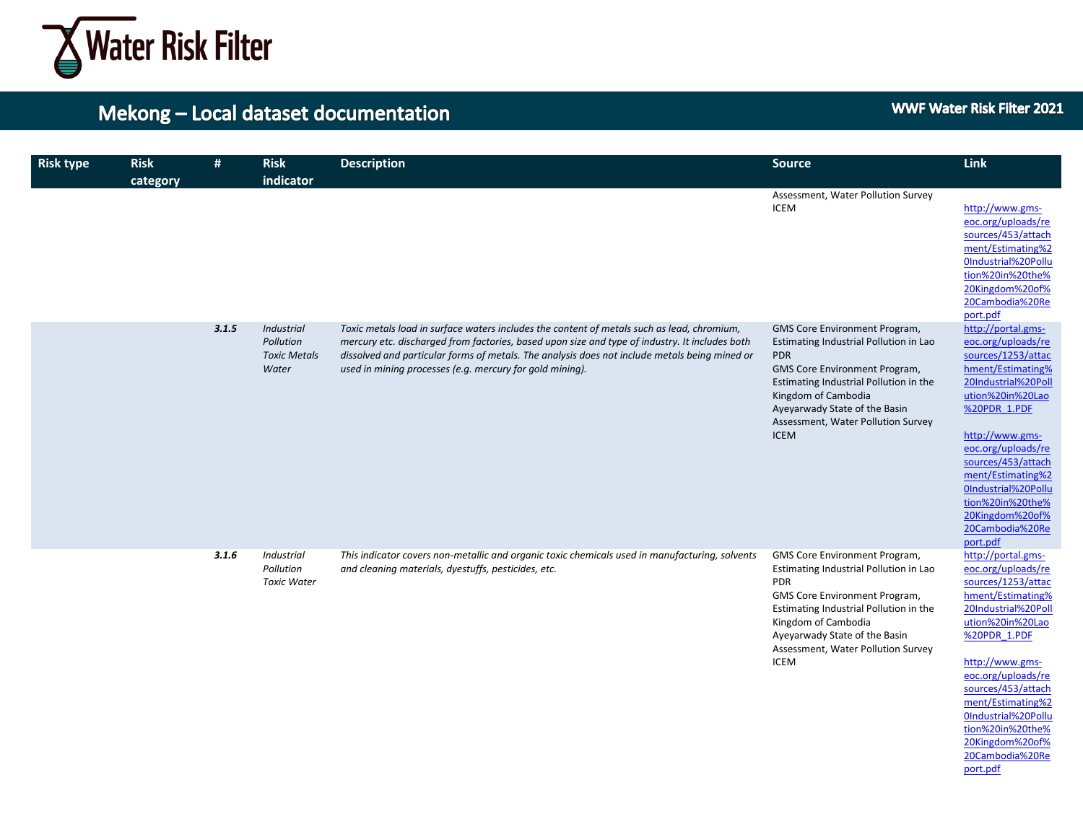

port.pdf

| <b>Risk type</b> | <b>Risk</b><br>category | #     | <b>Risk</b><br>indicator                                | <b>Description</b>                                                                                                                                                                                                                                                                                                                                        | <b>Source</b>                                                                                                                                                                                                                                                                 | Link                                                                                                                                                                                                                                                                                                                            |
|------------------|-------------------------|-------|---------------------------------------------------------|-----------------------------------------------------------------------------------------------------------------------------------------------------------------------------------------------------------------------------------------------------------------------------------------------------------------------------------------------------------|-------------------------------------------------------------------------------------------------------------------------------------------------------------------------------------------------------------------------------------------------------------------------------|---------------------------------------------------------------------------------------------------------------------------------------------------------------------------------------------------------------------------------------------------------------------------------------------------------------------------------|
|                  |                         |       |                                                         |                                                                                                                                                                                                                                                                                                                                                           | Assessment, Water Pollution Survey<br><b>ICEM</b>                                                                                                                                                                                                                             | http://www.gms-<br>eoc.org/uploads/re<br>sources/453/attach<br>ment/Estimating%2<br>OIndustrial%20Pollu<br>tion%20in%20the%<br>20Kingdom%20of%<br>20Cambodia%20Re<br>port.pdf                                                                                                                                                   |
|                  |                         | 3.1.5 | Industrial<br>Pollution<br><b>Toxic Metals</b><br>Water | Toxic metals load in surface waters includes the content of metals such as lead, chromium,<br>mercury etc. discharged from factories, based upon size and type of industry. It includes both<br>dissolved and particular forms of metals. The analysis does not include metals being mined or<br>used in mining processes (e.g. mercury for gold mining). | GMS Core Environment Program,<br>Estimating Industrial Pollution in Lao<br><b>PDR</b><br>GMS Core Environment Program,<br>Estimating Industrial Pollution in the<br>Kingdom of Cambodia<br>Ayeyarwady State of the Basin<br>Assessment, Water Pollution Survey<br><b>ICEM</b> | http://portal.gms-<br>eoc.org/uploads/re<br>sources/1253/attac<br>hment/Estimating%<br>20Industrial%20Poll<br>ution%20in%20Lao<br>%20PDR 1.PDF<br>http://www.gms-<br>eoc.org/uploads/re<br>sources/453/attach<br>ment/Estimating%2<br>OIndustrial%20Pollu<br>tion%20in%20the%<br>20Kingdom%20of%<br>20Cambodia%20Re<br>port.pdf |
|                  |                         | 3.1.6 | <b>Industrial</b><br>Pollution<br><b>Toxic Water</b>    | This indicator covers non-metallic and organic toxic chemicals used in manufacturing, solvents<br>and cleaning materials, dyestuffs, pesticides, etc.                                                                                                                                                                                                     | GMS Core Environment Program,<br>Estimating Industrial Pollution in Lao<br><b>PDR</b><br>GMS Core Environment Program,<br>Estimating Industrial Pollution in the<br>Kingdom of Cambodia<br>Ayeyarwady State of the Basin<br>Assessment, Water Pollution Survey<br><b>ICEM</b> | http://portal.gms-<br>eoc.org/uploads/re<br>sources/1253/attac<br>hment/Estimating%<br>20Industrial%20Poll<br>ution%20in%20Lao<br>%20PDR 1.PDF<br>http://www.gms-<br>eoc.org/uploads/re<br>sources/453/attach<br>ment/Estimating%2<br>0Industrial%20Pollu<br>tion%20in%20the%<br>20Kingdom%20of%<br>20Cambodia%20Re             |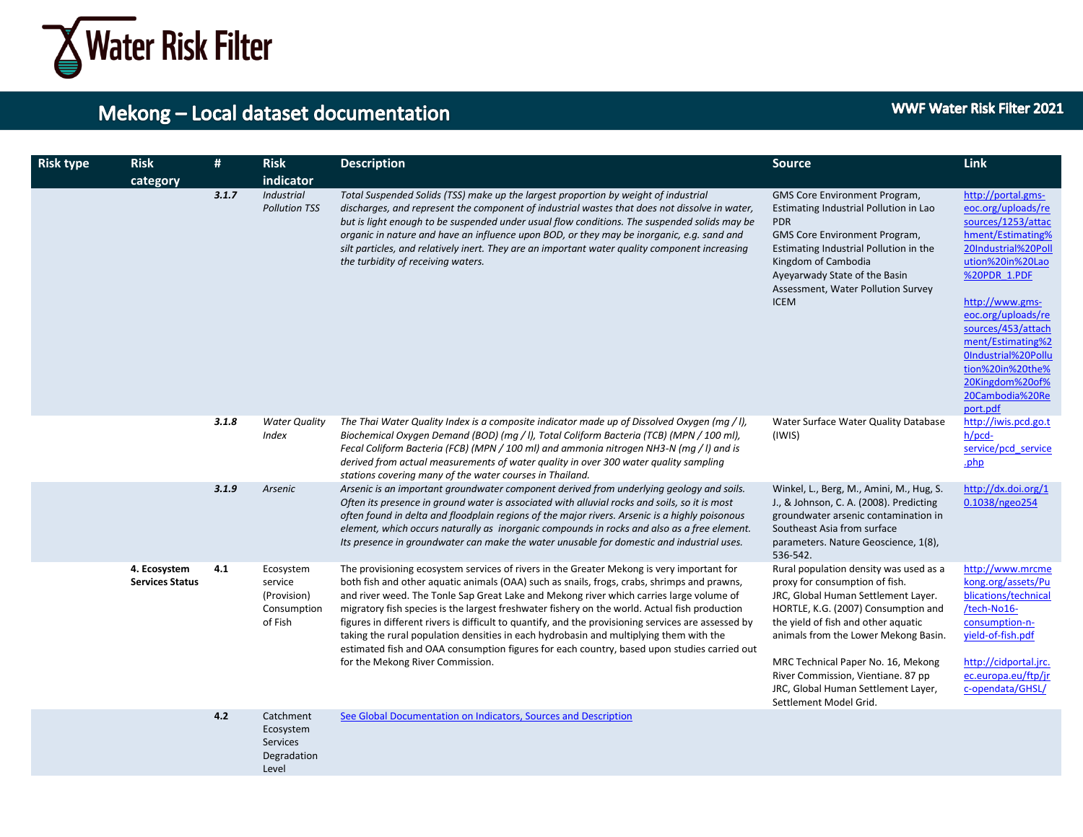

**WWF Water Risk Filter 2021** 

| <b>Risk type</b> | <b>Risk</b><br>category                | #     | <b>Risk</b><br>indicator                                          | <b>Description</b>                                                                                                                                                                                                                                                                                                                                                                                                                                                                                                                                                                                                                                                                                                       | <b>Source</b>                                                                                                                                                                                                                                                                                                                                                                      | Link                                                                                                                                                                                                                                                                                                                            |
|------------------|----------------------------------------|-------|-------------------------------------------------------------------|--------------------------------------------------------------------------------------------------------------------------------------------------------------------------------------------------------------------------------------------------------------------------------------------------------------------------------------------------------------------------------------------------------------------------------------------------------------------------------------------------------------------------------------------------------------------------------------------------------------------------------------------------------------------------------------------------------------------------|------------------------------------------------------------------------------------------------------------------------------------------------------------------------------------------------------------------------------------------------------------------------------------------------------------------------------------------------------------------------------------|---------------------------------------------------------------------------------------------------------------------------------------------------------------------------------------------------------------------------------------------------------------------------------------------------------------------------------|
|                  |                                        | 3.1.7 | <b>Industrial</b><br><b>Pollution TSS</b>                         | Total Suspended Solids (TSS) make up the largest proportion by weight of industrial<br>discharges, and represent the component of industrial wastes that does not dissolve in water,<br>but is light enough to be suspended under usual flow conditions. The suspended solids may be<br>organic in nature and have an influence upon BOD, or they may be inorganic, e.g. sand and<br>silt particles, and relatively inert. They are an important water quality component increasing<br>the turbidity of receiving waters.                                                                                                                                                                                                | GMS Core Environment Program,<br>Estimating Industrial Pollution in Lao<br><b>PDR</b><br>GMS Core Environment Program,<br>Estimating Industrial Pollution in the<br>Kingdom of Cambodia<br>Ayeyarwady State of the Basin<br>Assessment, Water Pollution Survey<br><b>ICEM</b>                                                                                                      | http://portal.gms-<br>eoc.org/uploads/re<br>sources/1253/attac<br>hment/Estimating%<br>20Industrial%20Poll<br>ution%20in%20Lao<br>%20PDR 1.PDF<br>http://www.gms-<br>eoc.org/uploads/re<br>sources/453/attach<br>ment/Estimating%2<br>OIndustrial%20Pollu<br>tion%20in%20the%<br>20Kingdom%20of%<br>20Cambodia%20Re<br>port.pdf |
|                  |                                        | 3.1.8 | <b>Water Quality</b><br><b>Index</b>                              | The Thai Water Quality Index is a composite indicator made up of Dissolved Oxygen (mg / I),<br>Biochemical Oxygen Demand (BOD) (mg / I), Total Coliform Bacteria (TCB) (MPN / 100 ml),<br>Fecal Coliform Bacteria (FCB) (MPN / 100 ml) and ammonia nitrogen NH3-N (mg / I) and is<br>derived from actual measurements of water quality in over 300 water quality sampling<br>stations covering many of the water courses in Thailand.                                                                                                                                                                                                                                                                                    | Water Surface Water Quality Database<br>(IWIS)                                                                                                                                                                                                                                                                                                                                     | http://iwis.pcd.go.t<br>h/pcd-<br>service/pcd service<br>.php                                                                                                                                                                                                                                                                   |
|                  |                                        | 3.1.9 | Arsenic                                                           | Arsenic is an important groundwater component derived from underlying geology and soils.<br>Often its presence in ground water is associated with alluvial rocks and soils, so it is most<br>often found in delta and floodplain regions of the major rivers. Arsenic is a highly poisonous<br>element, which occurs naturally as inorganic compounds in rocks and also as a free element.<br>Its presence in groundwater can make the water unusable for domestic and industrial uses.                                                                                                                                                                                                                                  | Winkel, L., Berg, M., Amini, M., Hug, S.<br>J., & Johnson, C. A. (2008). Predicting<br>groundwater arsenic contamination in<br>Southeast Asia from surface<br>parameters. Nature Geoscience, 1(8),<br>536-542.                                                                                                                                                                     | http://dx.doi.org/1<br>0.1038/ngeo254                                                                                                                                                                                                                                                                                           |
|                  | 4. Ecosystem<br><b>Services Status</b> | 4.1   | Ecosystem<br>service<br>(Provision)<br>Consumption<br>of Fish     | The provisioning ecosystem services of rivers in the Greater Mekong is very important for<br>both fish and other aquatic animals (OAA) such as snails, frogs, crabs, shrimps and prawns,<br>and river weed. The Tonle Sap Great Lake and Mekong river which carries large volume of<br>migratory fish species is the largest freshwater fishery on the world. Actual fish production<br>figures in different rivers is difficult to quantify, and the provisioning services are assessed by<br>taking the rural population densities in each hydrobasin and multiplying them with the<br>estimated fish and OAA consumption figures for each country, based upon studies carried out<br>for the Mekong River Commission. | Rural population density was used as a<br>proxy for consumption of fish.<br>JRC, Global Human Settlement Layer.<br>HORTLE, K.G. (2007) Consumption and<br>the yield of fish and other aquatic<br>animals from the Lower Mekong Basin.<br>MRC Technical Paper No. 16, Mekong<br>River Commission, Vientiane. 87 pp<br>JRC, Global Human Settlement Layer,<br>Settlement Model Grid. | http://www.mrcme<br>kong.org/assets/Pu<br>blications/technical<br>/tech-No16-<br>consumption-n-<br>yield-of-fish.pdf<br>http://cidportal.jrc.<br>ec.europa.eu/ftp/jr<br>c-opendata/GHSL/                                                                                                                                        |
|                  |                                        | 4.2   | Catchment<br>Ecosystem<br><b>Services</b><br>Degradation<br>Level | See Global Documentation on Indicators, Sources and Description                                                                                                                                                                                                                                                                                                                                                                                                                                                                                                                                                                                                                                                          |                                                                                                                                                                                                                                                                                                                                                                                    |                                                                                                                                                                                                                                                                                                                                 |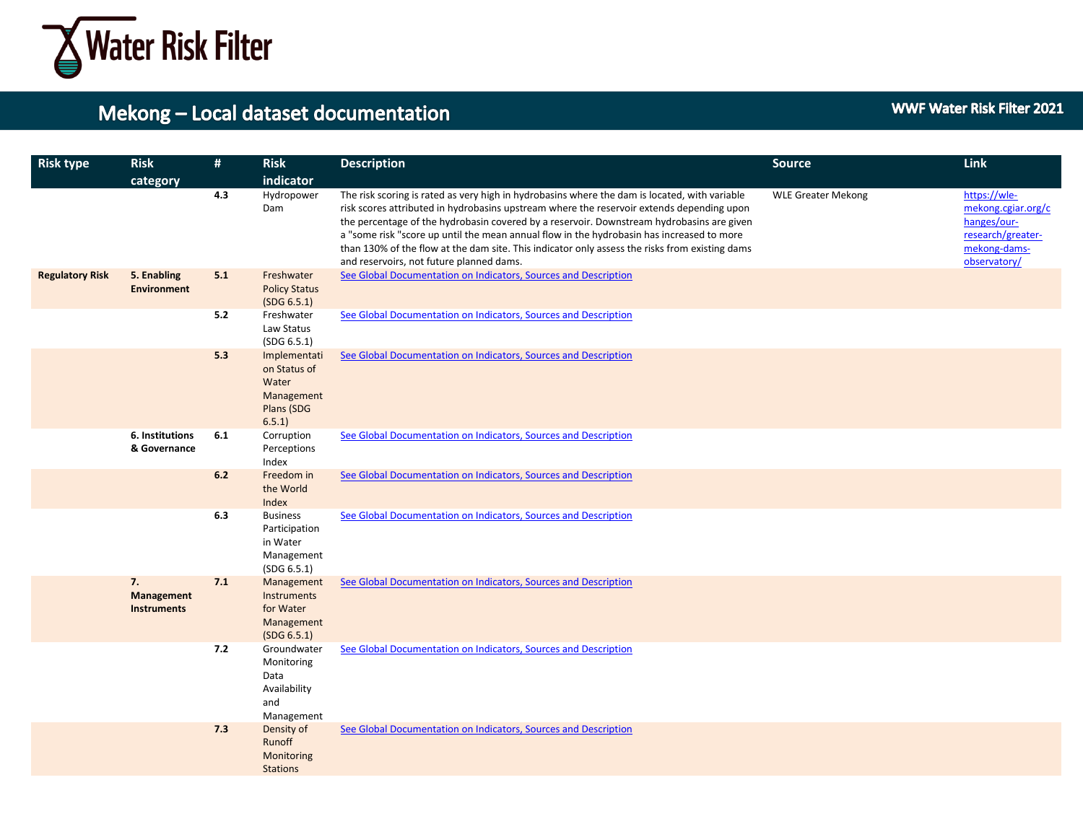

| <b>Risk type</b>       | <b>Risk</b>                                   | #   | <b>Risk</b>                                                                | <b>Description</b>                                                                                                                                                                                                                                                                                                                                                                                                                                                                                                                 | <b>Source</b>             | <b>Link</b>                                                                                            |
|------------------------|-----------------------------------------------|-----|----------------------------------------------------------------------------|------------------------------------------------------------------------------------------------------------------------------------------------------------------------------------------------------------------------------------------------------------------------------------------------------------------------------------------------------------------------------------------------------------------------------------------------------------------------------------------------------------------------------------|---------------------------|--------------------------------------------------------------------------------------------------------|
|                        | category                                      |     | indicator                                                                  |                                                                                                                                                                                                                                                                                                                                                                                                                                                                                                                                    |                           |                                                                                                        |
|                        |                                               | 4.3 | Hydropower<br>Dam                                                          | The risk scoring is rated as very high in hydrobasins where the dam is located, with variable<br>risk scores attributed in hydrobasins upstream where the reservoir extends depending upon<br>the percentage of the hydrobasin covered by a reservoir. Downstream hydrobasins are given<br>a "some risk "score up until the mean annual flow in the hydrobasin has increased to more<br>than 130% of the flow at the dam site. This indicator only assess the risks from existing dams<br>and reservoirs, not future planned dams. | <b>WLE Greater Mekong</b> | https://wle-<br>mekong.cgiar.org/c<br>hanges/our-<br>research/greater-<br>mekong-dams-<br>observatory/ |
| <b>Regulatory Risk</b> | 5. Enabling<br><b>Environment</b>             | 5.1 | Freshwater<br><b>Policy Status</b><br>(SDG 6.5.1)                          | See Global Documentation on Indicators, Sources and Description                                                                                                                                                                                                                                                                                                                                                                                                                                                                    |                           |                                                                                                        |
|                        |                                               | 5.2 | Freshwater<br>Law Status<br>(SDG 6.5.1)                                    | See Global Documentation on Indicators, Sources and Description                                                                                                                                                                                                                                                                                                                                                                                                                                                                    |                           |                                                                                                        |
|                        |                                               | 5.3 | Implementati<br>on Status of<br>Water<br>Management<br>Plans (SDG<br>6.5.1 | See Global Documentation on Indicators, Sources and Description                                                                                                                                                                                                                                                                                                                                                                                                                                                                    |                           |                                                                                                        |
|                        | 6. Institutions<br>& Governance               | 6.1 | Corruption<br>Perceptions<br>Index                                         | See Global Documentation on Indicators, Sources and Description                                                                                                                                                                                                                                                                                                                                                                                                                                                                    |                           |                                                                                                        |
|                        |                                               | 6.2 | Freedom in<br>the World<br>Index                                           | See Global Documentation on Indicators, Sources and Description                                                                                                                                                                                                                                                                                                                                                                                                                                                                    |                           |                                                                                                        |
|                        |                                               | 6.3 | <b>Business</b><br>Participation<br>in Water<br>Management<br>(SDG 6.5.1)  | See Global Documentation on Indicators, Sources and Description                                                                                                                                                                                                                                                                                                                                                                                                                                                                    |                           |                                                                                                        |
|                        | 7.<br><b>Management</b><br><b>Instruments</b> | 7.1 | Management<br>Instruments<br>for Water<br>Management<br>(SDG 6.5.1)        | See Global Documentation on Indicators, Sources and Description                                                                                                                                                                                                                                                                                                                                                                                                                                                                    |                           |                                                                                                        |
|                        |                                               | 7.2 | Groundwater<br>Monitoring<br>Data<br>Availability<br>and<br>Management     | See Global Documentation on Indicators, Sources and Description                                                                                                                                                                                                                                                                                                                                                                                                                                                                    |                           |                                                                                                        |
|                        |                                               | 7.3 | Density of<br>Runoff<br>Monitoring<br><b>Stations</b>                      | See Global Documentation on Indicators, Sources and Description                                                                                                                                                                                                                                                                                                                                                                                                                                                                    |                           |                                                                                                        |